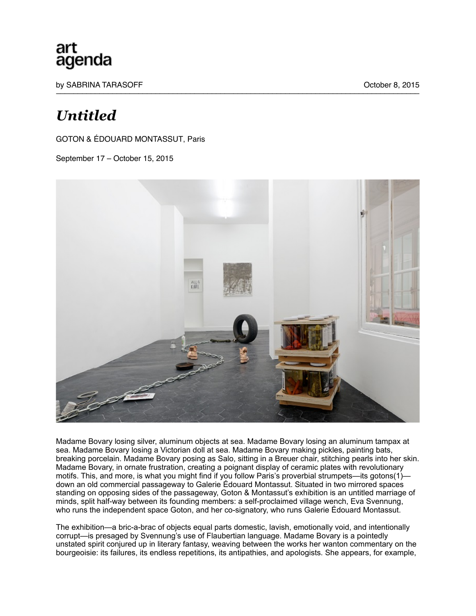## art agenda

by SABRINA TARASOFF **October 8, 2015** 

## *Untitled*

GOTON & ÉDOUARD MONTASSUT, Paris

September 17 – October 15, 2015



Madame Bovary losing silver, aluminum objects at sea. Madame Bovary losing an aluminum tampax at sea. Madame Bovary losing a Victorian doll at sea. Madame Bovary making pickles, painting bats, breaking porcelain. Madame Bovary posing as Salo, sitting in a Breuer chair, stitching pearls into her skin. Madame Bovary, in ornate frustration, creating a poignant display of ceramic plates with revolutionary motifs. This, and more, is what you might find if you follow Paris's proverbial strumpets—its gotons(1) down an old commercial passageway to Galerie Édouard Montassut. Situated in two mirrored spaces standing on opposing sides of the passageway, Goton & Montassut's exhibition is an untitled marriage of minds, split half-way between its founding members: a self-proclaimed village wench, Eva Svennung, who runs the independent space Goton, and her co-signatory, who runs Galerie Édouard Montassut.

The exhibition—a bric-a-brac of objects equal parts domestic, lavish, emotionally void, and intentionally corrupt—is presaged by Svennung's use of Flaubertian language. Madame Bovary is a pointedly unstated spirit conjured up in literary fantasy, weaving between the works her wanton commentary on the bourgeoisie: its failures, its endless repetitions, its antipathies, and apologists. She appears, for example,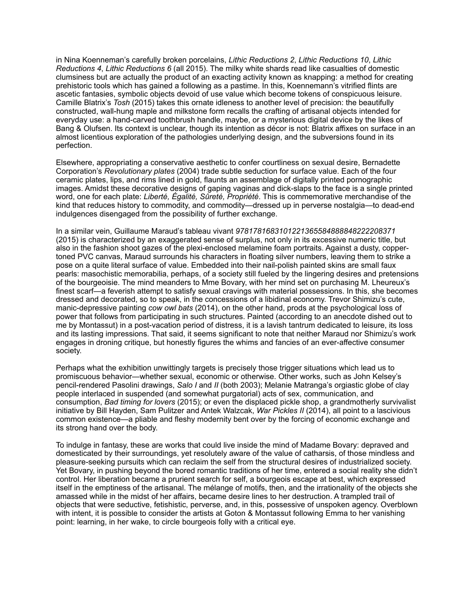in Nina Koenneman's carefully broken porcelains, *Lithic Reductions 2*, *Lithic Reductions 10*, *Lithic Reductions 4*, *Lithic Reductions 6* (all 2015). The milky white shards read like casualties of domestic clumsiness but are actually the product of an exacting activity known as knapping: a method for creating prehistoric tools which has gained a following as a pastime. In this, Koennemann's vitrified flints are ascetic fantasies, symbolic objects devoid of use value which become tokens of conspicuous leisure. Camille Blatrix's *Tosh* (2015) takes this ornate idleness to another level of precision: the beautifully constructed, wall-hung maple and milkstone form recalls the crafting of artisanal objects intended for everyday use: a hand-carved toothbrush handle, maybe, or a mysterious digital device by the likes of Bang & Olufsen. Its context is unclear, though its intention as décor is not: Blatrix affixes on surface in an almost licentious exploration of the pathologies underlying design, and the subversions found in its perfection.

Elsewhere, appropriating a conservative aesthetic to confer courtliness on sexual desire, Bernadette Corporation's *Revolutionary plates* (2004) trade subtle seduction for surface value. Each of the four ceramic plates, lips, and rims lined in gold, flaunts an assemblage of digitally printed pornographic images. Amidst these decorative designs of gaping vaginas and dick-slaps to the face is a single printed word, one for each plate: *Liberté, Égalité, Sûreté, Propriété*. This is commemorative merchandise of the kind that reduces history to commodity, and commodity—dressed up in perverse nostalgia—to dead-end indulgences disengaged from the possibility of further exchange.

In a similar vein, Guillaume Maraud's tableau vivant *9781781683101221365584888848222208371* (2015) is characterized by an exaggerated sense of surplus, not only in its excessive numeric title, but also in the fashion shoot gazes of the plexi-enclosed melamine foam portraits. Against a dusty, coppertoned PVC canvas, Maraud surrounds his characters in floating silver numbers, leaving them to strike a pose on a quite literal surface of value. Embedded into their nail-polish painted skins are small faux pearls: masochistic memorabilia, perhaps, of a society still fueled by the lingering desires and pretensions of the bourgeoisie. The mind meanders to Mme Bovary, with her mind set on purchasing M. Lheureux's finest scarf—a feverish attempt to satisfy sexual cravings with material possessions. In this, she becomes dressed and decorated, so to speak, in the concessions of a libidinal economy. Trevor Shimizu's cute, manic-depressive painting *cow owl bats* (2014), on the other hand, prods at the psychological loss of power that follows from participating in such structures. Painted (according to an anecdote dished out to me by Montassut) in a post-vacation period of distress, it is a lavish tantrum dedicated to leisure, its loss and its lasting impressions. That said, it seems significant to note that neither Maraud nor Shimizu's work engages in droning critique, but honestly figures the whims and fancies of an ever-affective consumer society.

Perhaps what the exhibition unwittingly targets is precisely those trigger situations which lead us to promiscuous behavior—whether sexual, economic or otherwise. Other works, such as John Kelsey's pencil-rendered Pasolini drawings, *Salo I* and *II* (both 2003); Melanie Matranga's orgiastic globe of clay people interlaced in suspended (and somewhat purgatorial) acts of sex, communication, and consumption, *Bad timing for lovers* (2015); or even the displaced pickle shop, a grandmotherly survivalist initiative by Bill Hayden, Sam Pulitzer and Antek Walzcak, *War Pickles II* (2014), all point to a lascivious common existence—a pliable and fleshy modernity bent over by the forcing of economic exchange and its strong hand over the body.

To indulge in fantasy, these are works that could live inside the mind of Madame Bovary: depraved and domesticated by their surroundings, yet resolutely aware of the value of catharsis, of those mindless and pleasure-seeking pursuits which can reclaim the self from the structural desires of industrialized society. Yet Bovary, in pushing beyond the bored romantic traditions of her time, entered a social reality she didn't control. Her liberation became a prurient search for self, a bourgeois escape at best, which expressed itself in the emptiness of the artisanal. The mélange of motifs, then, and the irrationality of the objects she amassed while in the midst of her affairs, became desire lines to her destruction. A trampled trail of objects that were seductive, fetishistic, perverse, and, in this, possessive of unspoken agency. Overblown with intent, it is possible to consider the artists at Goton & Montassut following Emma to her vanishing point: learning, in her wake, to circle bourgeois folly with a critical eye.